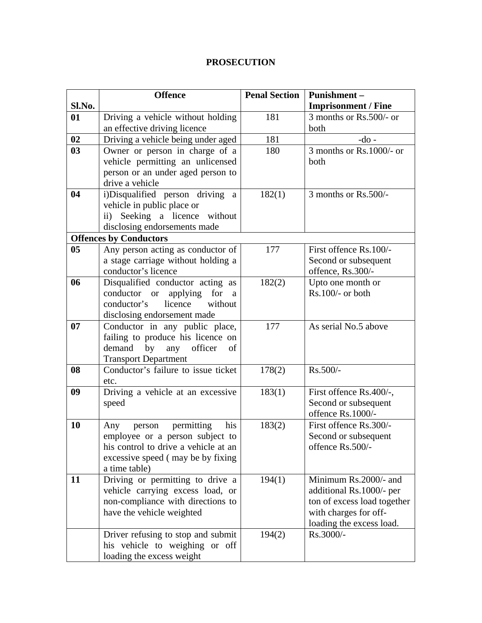## **PROSECUTION**

|           | <b>Offence</b>                                                       | <b>Penal Section</b> | Punishment-                 |
|-----------|----------------------------------------------------------------------|----------------------|-----------------------------|
| Sl.No.    |                                                                      |                      | <b>Imprisonment / Fine</b>  |
| 01        | Driving a vehicle without holding                                    | 181                  | 3 months or Rs.500/- or     |
|           | an effective driving licence                                         |                      | both                        |
| 02        | Driving a vehicle being under aged                                   | 181                  | $-do$ -                     |
| 03        | Owner or person in charge of a                                       | 180                  | 3 months or Rs.1000/- or    |
|           | vehicle permitting an unlicensed                                     |                      | both                        |
|           | person or an under aged person to                                    |                      |                             |
|           | drive a vehicle                                                      |                      |                             |
| 04        | i)Disqualified person driving a                                      | 182(1)               | 3 months or Rs.500/-        |
|           | vehicle in public place or                                           |                      |                             |
|           | ii) Seeking a licence<br>without                                     |                      |                             |
|           | disclosing endorsements made                                         |                      |                             |
|           | <b>Offences by Conductors</b>                                        |                      |                             |
| 05        | Any person acting as conductor of                                    | 177                  | First offence Rs.100/-      |
|           | a stage carriage without holding a                                   |                      | Second or subsequent        |
|           | conductor's licence                                                  |                      | offence, Rs.300/-           |
| 06        | Disqualified conductor acting as                                     | 182(2)               | Upto one month or           |
|           | applying for<br>conductor or<br>a                                    |                      | Rs.100/- or both            |
|           | conductor's<br>licence<br>without                                    |                      |                             |
|           | disclosing endorsement made                                          |                      |                             |
| 07        | Conductor in any public place,                                       | 177                  | As serial No.5 above        |
|           | failing to produce his licence on                                    |                      |                             |
|           | demand<br>by<br>officer<br>any<br>of                                 |                      |                             |
|           | <b>Transport Department</b>                                          |                      |                             |
| 08        | Conductor's failure to issue ticket                                  | 178(2)               | Rs.500/-                    |
|           | etc.                                                                 |                      |                             |
| 09        | Driving a vehicle at an excessive                                    | 183(1)               | First offence Rs.400/-,     |
|           | speed                                                                |                      | Second or subsequent        |
|           |                                                                      |                      | offence Rs.1000/-           |
| <b>10</b> | permitting<br>his<br>Any<br>person                                   | 183(2)               | First offence Rs.300/-      |
|           | employee or a person subject to                                      |                      | Second or subsequent        |
|           | his control to drive a vehicle at an                                 |                      | offence Rs.500/-            |
|           | excessive speed (may be by fixing                                    |                      |                             |
| 11        | a time table)                                                        | 194(1)               | Minimum Rs.2000/- and       |
|           | Driving or permitting to drive a<br>vehicle carrying excess load, or |                      | additional Rs.1000/- per    |
|           | non-compliance with directions to                                    |                      | ton of excess load together |
|           | have the vehicle weighted                                            |                      | with charges for off-       |
|           |                                                                      |                      | loading the excess load.    |
|           |                                                                      |                      |                             |
|           |                                                                      |                      |                             |
|           | loading the excess weight                                            |                      |                             |
|           | Driver refusing to stop and submit<br>his vehicle to weighing or off | 194(2)               | Rs.3000/-                   |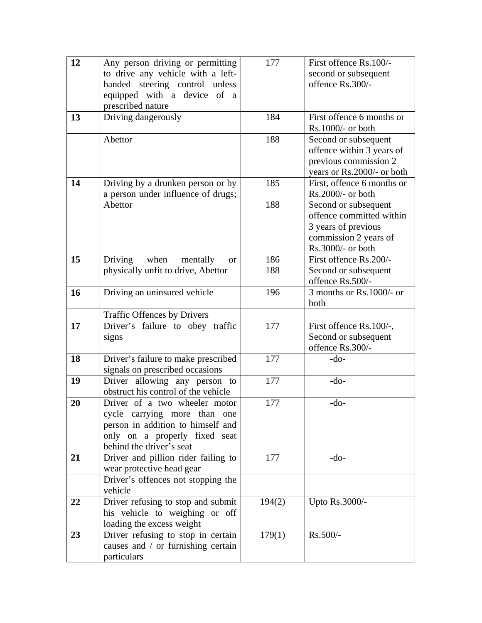| 12 | Any person driving or permitting                                       | 177    | First offence Rs.100/-     |
|----|------------------------------------------------------------------------|--------|----------------------------|
|    | to drive any vehicle with a left-                                      |        | second or subsequent       |
|    | handed steering control unless                                         |        | offence Rs.300/-           |
|    | equipped with a device of a                                            |        |                            |
|    | prescribed nature                                                      |        |                            |
| 13 | Driving dangerously                                                    | 184    | First offence 6 months or  |
|    |                                                                        |        | Rs.1000/- or both          |
|    | Abettor                                                                | 188    | Second or subsequent       |
|    |                                                                        |        | offence within 3 years of  |
|    |                                                                        |        | previous commission 2      |
|    |                                                                        |        | years or Rs.2000/- or both |
| 14 | Driving by a drunken person or by                                      | 185    | First, offence 6 months or |
|    | a person under influence of drugs;                                     |        | Rs.2000/- or both          |
|    | Abettor                                                                | 188    | Second or subsequent       |
|    |                                                                        |        | offence committed within   |
|    |                                                                        |        | 3 years of previous        |
|    |                                                                        |        | commission 2 years of      |
|    |                                                                        |        | Rs.3000/- or both          |
| 15 | Driving<br>when<br>mentally<br><b>or</b>                               | 186    | First offence Rs.200/-     |
|    | physically unfit to drive, Abettor                                     | 188    | Second or subsequent       |
|    |                                                                        |        | offence Rs.500/-           |
| 16 | Driving an uninsured vehicle                                           | 196    | 3 months or $Rs.1000/-$ or |
|    |                                                                        |        | both                       |
|    | <b>Traffic Offences by Drivers</b>                                     |        |                            |
| 17 | Driver's failure to obey traffic                                       | 177    | First offence Rs.100/-,    |
|    | signs                                                                  |        | Second or subsequent       |
|    |                                                                        |        | offence Rs.300/-           |
| 18 | Driver's failure to make prescribed<br>signals on prescribed occasions | 177    | $-do-$                     |
| 19 | Driver allowing any person to                                          | 177    | $-do-$                     |
|    | obstruct his control of the vehicle                                    |        |                            |
| 20 | Driver of a two wheeler motor                                          | 177    | $-do-$                     |
|    | cycle carrying more than one                                           |        |                            |
|    | person in addition to himself and                                      |        |                            |
|    | only on a properly fixed seat                                          |        |                            |
|    | behind the driver's seat                                               |        |                            |
| 21 | Driver and pillion rider failing to                                    | 177    | $-do-$                     |
|    | wear protective head gear                                              |        |                            |
|    | Driver's offences not stopping the                                     |        |                            |
|    | vehicle                                                                |        |                            |
| 22 | Driver refusing to stop and submit                                     | 194(2) | Upto Rs.3000/-             |
|    | his vehicle to weighing or off                                         |        |                            |
|    | loading the excess weight                                              |        |                            |
| 23 | Driver refusing to stop in certain                                     | 179(1) | Rs.500/-                   |
|    | causes and / or furnishing certain                                     |        |                            |
|    | particulars                                                            |        |                            |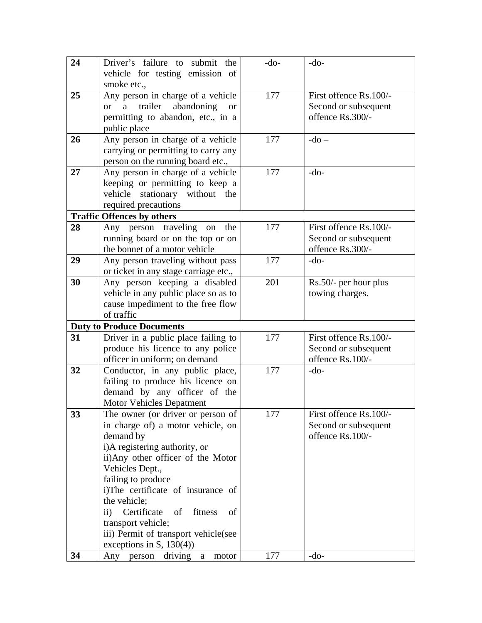| 24 | Driver's failure to submit the                                  | $-do-$ | $-do-$                 |
|----|-----------------------------------------------------------------|--------|------------------------|
|    | vehicle for testing emission of                                 |        |                        |
|    | smoke etc.,                                                     |        |                        |
| 25 | Any person in charge of a vehicle                               | 177    | First offence Rs.100/- |
|    | trailer<br>abandoning<br>$\mathbf{a}$<br><b>or</b><br><b>or</b> |        | Second or subsequent   |
|    | permitting to abandon, etc., in a                               |        | offence Rs.300/-       |
|    | public place                                                    |        |                        |
| 26 | Any person in charge of a vehicle                               | 177    | $-do-$                 |
|    | carrying or permitting to carry any                             |        |                        |
|    | person on the running board etc.,                               |        |                        |
| 27 | Any person in charge of a vehicle                               | 177    | $-do-$                 |
|    | keeping or permitting to keep a                                 |        |                        |
|    | vehicle<br>stationary without the                               |        |                        |
|    | required precautions                                            |        |                        |
|    | <b>Traffic Offences by others</b>                               |        |                        |
| 28 | Any person traveling<br>the<br>on                               | 177    | First offence Rs.100/- |
|    | running board or on the top or on                               |        | Second or subsequent   |
|    | the bonnet of a motor vehicle                                   |        | offence Rs.300/-       |
| 29 | Any person traveling without pass                               | 177    | $-do-$                 |
| 30 | or ticket in any stage carriage etc.,                           | 201    |                        |
|    | Any person keeping a disabled                                   |        | Rs.50/- per hour plus  |
|    | vehicle in any public place so as to                            |        | towing charges.        |
|    | cause impediment to the free flow<br>of traffic                 |        |                        |
|    | <b>Duty to Produce Documents</b>                                |        |                        |
| 31 | Driver in a public place failing to                             | 177    | First offence Rs.100/- |
|    | produce his licence to any police                               |        | Second or subsequent   |
|    | officer in uniform; on demand                                   |        | offence Rs.100/-       |
| 32 | Conductor, in any public place,                                 | 177    | $-do-$                 |
|    | failing to produce his licence on                               |        |                        |
|    | demand by any officer of the                                    |        |                        |
|    | <b>Motor Vehicles Depatment</b>                                 |        |                        |
| 33 | The owner (or driver or person of                               | 177    | First offence Rs.100/- |
|    | in charge of) a motor vehicle, on                               |        | Second or subsequent   |
|    | demand by                                                       |        | offence Rs.100/-       |
|    | i)A registering authority, or                                   |        |                        |
|    | ii)Any other officer of the Motor                               |        |                        |
|    | Vehicles Dept.,                                                 |        |                        |
|    | failing to produce                                              |        |                        |
|    | i)The certificate of insurance of                               |        |                        |
|    | the vehicle;                                                    |        |                        |
|    | Certificate<br>$\ddot{\mathbf{i}}$<br>of<br>fitness<br>of       |        |                        |
|    | transport vehicle;                                              |        |                        |
|    | iii) Permit of transport vehicle(see                            |        |                        |
|    | exceptions in S, $130(4)$ )                                     |        |                        |
| 34 | driving<br>Any<br>a<br>motor<br>person                          | 177    | $-do-$                 |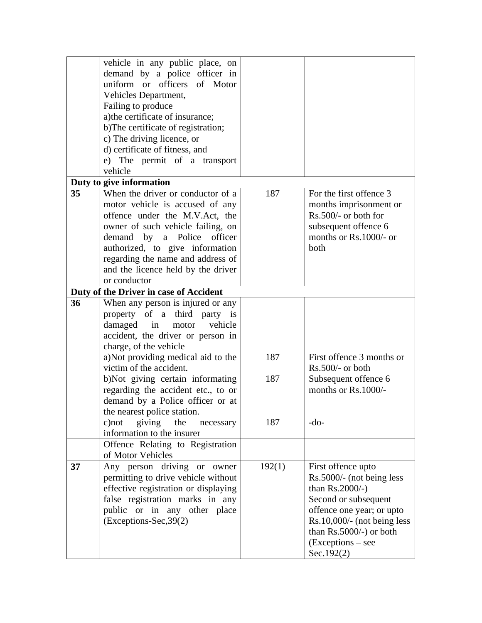|    | vehicle in any public place, on        |        |                                |
|----|----------------------------------------|--------|--------------------------------|
|    | demand by a police officer in          |        |                                |
|    | uniform or officers of Motor           |        |                                |
|    | Vehicles Department,                   |        |                                |
|    | Failing to produce                     |        |                                |
|    | a) the certificate of insurance;       |        |                                |
|    | b) The certificate of registration;    |        |                                |
|    | c) The driving licence, or             |        |                                |
|    | d) certificate of fitness, and         |        |                                |
|    | e) The permit of a transport           |        |                                |
|    | vehicle                                |        |                                |
|    | Duty to give information               |        |                                |
| 35 | When the driver or conductor of a      | 187    | For the first offence 3        |
|    | motor vehicle is accused of any        |        | months imprisonment or         |
|    | offence under the M.V.Act, the         |        | $Rs.500/-$ or both for         |
|    | owner of such vehicle failing, on      |        | subsequent offence 6           |
|    | a Police<br>demand<br>officer<br>by    |        | months or Rs.1000/- or         |
|    | authorized, to give information        |        | both                           |
|    | regarding the name and address of      |        |                                |
|    | and the licence held by the driver     |        |                                |
|    | or conductor                           |        |                                |
|    | Duty of the Driver in case of Accident |        |                                |
| 36 | When any person is injured or any      |        |                                |
|    | property of a third party is           |        |                                |
|    | damaged in<br>vehicle<br>motor         |        |                                |
|    | accident, the driver or person in      |        |                                |
|    | charge, of the vehicle                 |        |                                |
|    | a)Not providing medical aid to the     | 187    | First offence 3 months or      |
|    | victim of the accident.                |        | Rs.500/- or both               |
|    | b)Not giving certain informating       | 187    | Subsequent offence 6           |
|    | regarding the accident etc., to or     |        | months or Rs.1000/-            |
|    | demand by a Police officer or at       |        |                                |
|    | the nearest police station.            |        |                                |
|    | giving<br>the<br>$c)$ not<br>necessary | 187    | $-do-$                         |
|    | information to the insurer             |        |                                |
|    | Offence Relating to Registration       |        |                                |
|    | of Motor Vehicles                      |        |                                |
| 37 | Any person driving or owner            | 192(1) | First offence upto             |
|    | permitting to drive vehicle without    |        | Rs.5000/- (not being less      |
|    | effective registration or displaying   |        | than $Rs.2000/-$ )             |
|    | false registration marks in any        |        | Second or subsequent           |
|    | public or in any other place           |        | offence one year; or upto      |
|    | (Exceptions-Sec, 39(2)                 |        | $Rs.10,000/$ - (not being less |
|    |                                        |        | than $Rs.5000/-$ ) or both     |
|    |                                        |        | $(Exceptions - see$            |
|    |                                        |        | Sec.192(2)                     |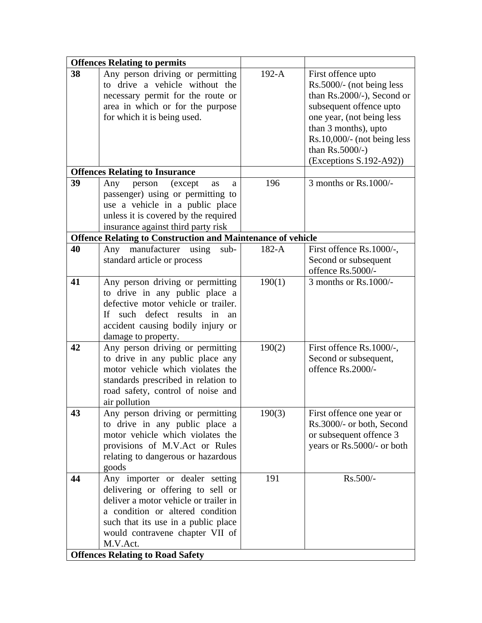| 38 | <b>Offences Relating to permits</b><br>Any person driving or permitting | $192-A$ | First offence upto          |
|----|-------------------------------------------------------------------------|---------|-----------------------------|
|    | to drive a vehicle without the                                          |         | Rs.5000/- (not being less   |
|    |                                                                         |         | than Rs.2000/-), Second or  |
|    | necessary permit for the route or                                       |         |                             |
|    | area in which or for the purpose                                        |         | subsequent offence upto     |
|    | for which it is being used.                                             |         | one year, (not being less   |
|    |                                                                         |         | than 3 months), upto        |
|    |                                                                         |         | Rs.10,000/- (not being less |
|    |                                                                         |         | than $Rs.5000/-$ )          |
|    |                                                                         |         | $(Exceptions S.192-A92))$   |
|    | <b>Offences Relating to Insurance</b>                                   |         |                             |
| 39 | Any<br>(except<br>person<br>as<br>a                                     | 196     | 3 months or Rs.1000/-       |
|    | passenger) using or permitting to                                       |         |                             |
|    | use a vehicle in a public place                                         |         |                             |
|    | unless it is covered by the required                                    |         |                             |
|    | insurance against third party risk                                      |         |                             |
|    | <b>Offence Relating to Construction and Maintenance of vehicle</b>      |         |                             |
| 40 | Any manufacturer using<br>sub-                                          | 182-A   | First offence Rs.1000/-,    |
|    | standard article or process                                             |         | Second or subsequent        |
|    |                                                                         |         | offence Rs.5000/-           |
| 41 | Any person driving or permitting                                        | 190(1)  | 3 months or Rs.1000/-       |
|    | to drive in any public place a                                          |         |                             |
|    | defective motor vehicle or trailer.                                     |         |                             |
|    | If such defect results in an                                            |         |                             |
|    | accident causing bodily injury or                                       |         |                             |
|    | damage to property.                                                     |         |                             |
| 42 | Any person driving or permitting                                        | 190(2)  | First offence Rs.1000/-,    |
|    | to drive in any public place any                                        |         | Second or subsequent,       |
|    | motor vehicle which violates the                                        |         | offence Rs.2000/-           |
|    | standards prescribed in relation to                                     |         |                             |
|    | road safety, control of noise and                                       |         |                             |
|    |                                                                         |         |                             |
| 43 | air pollution                                                           | 190(3)  | First offence one year or   |
|    | Any person driving or permitting                                        |         |                             |
|    | to drive in any public place a                                          |         | Rs.3000/- or both, Second   |
|    | motor vehicle which violates the                                        |         | or subsequent offence 3     |
|    | provisions of M.V.Act or Rules                                          |         | years or Rs.5000/- or both  |
|    | relating to dangerous or hazardous                                      |         |                             |
|    | goods                                                                   |         |                             |
| 44 | Any importer or dealer setting                                          | 191     | Rs.500/-                    |
|    | delivering or offering to sell or                                       |         |                             |
|    | deliver a motor vehicle or trailer in                                   |         |                             |
|    | a condition or altered condition                                        |         |                             |
|    | such that its use in a public place                                     |         |                             |
|    | would contravene chapter VII of                                         |         |                             |
|    | M.V.Act.                                                                |         |                             |
|    | <b>Offences Relating to Road Safety</b>                                 |         |                             |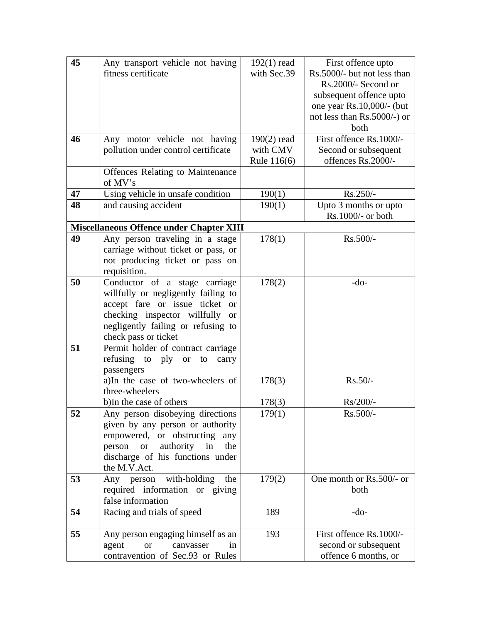| 45 | Any transport vehicle not having                  | $192(1)$ read | First offence upto          |
|----|---------------------------------------------------|---------------|-----------------------------|
|    | fitness certificate                               | with Sec.39   | Rs.5000/- but not less than |
|    |                                                   |               | Rs.2000/- Second or         |
|    |                                                   |               | subsequent offence upto     |
|    |                                                   |               | one year Rs.10,000/- (but   |
|    |                                                   |               | not less than Rs.5000/-) or |
|    |                                                   |               | both                        |
| 46 | Any motor vehicle not having                      | $190(2)$ read | First offence Rs.1000/-     |
|    | pollution under control certificate               | with CMV      | Second or subsequent        |
|    |                                                   | Rule 116(6)   | offences Rs.2000/-          |
|    | <b>Offences Relating to Maintenance</b>           |               |                             |
|    | of MV's                                           |               |                             |
| 47 | Using vehicle in unsafe condition                 | 190(1)        | Rs.250/-                    |
| 48 | and causing accident                              | 190(1)        | Upto 3 months or upto       |
|    |                                                   |               | Rs.1000/- or both           |
|    | <b>Miscellaneous Offence under Chapter XIII</b>   |               |                             |
| 49 | Any person traveling in a stage                   | 178(1)        | Rs.500/-                    |
|    | carriage without ticket or pass, or               |               |                             |
|    | not producing ticket or pass on                   |               |                             |
|    | requisition.                                      |               |                             |
| 50 | Conductor of a stage carriage                     | 178(2)        | $-do-$                      |
|    | willfully or negligently failing to               |               |                             |
|    | accept fare or issue ticket or                    |               |                             |
|    | checking inspector willfully<br><b>or</b>         |               |                             |
|    | negligently failing or refusing to                |               |                             |
|    | check pass or ticket                              |               |                             |
| 51 | Permit holder of contract carriage                |               |                             |
|    | refusing<br>to<br>ply<br><b>or</b><br>to<br>carry |               |                             |
|    | passengers                                        |               |                             |
|    | a)In the case of two-wheelers of                  | 178(3)        | Rs.50/-                     |
|    | three-wheelers                                    |               |                             |
|    | b)In the case of others                           | 178(3)        | Rs/200/-                    |
| 52 | Any person disobeying directions                  | 179(1)        | Rs.500/-                    |
|    | given by any person or authority                  |               |                             |
|    | empowered, or obstructing<br>any                  |               |                             |
|    | authority in<br>person<br>the<br><sub>or</sub>    |               |                             |
|    | discharge of his functions under                  |               |                             |
|    | the M.V.Act.                                      |               |                             |
| 53 | with-holding<br>Any person<br>the                 | 179(2)        | One month or Rs.500/- or    |
|    | required information or giving                    |               | both                        |
|    | false information                                 |               |                             |
| 54 | Racing and trials of speed                        | 189           | $-do-$                      |
|    |                                                   |               |                             |
| 55 | Any person engaging himself as an                 | 193           | First offence Rs.1000/-     |
|    | agent<br><b>or</b><br>canvasser<br>in             |               | second or subsequent        |
|    | contravention of Sec.93 or Rules                  |               | offence 6 months, or        |